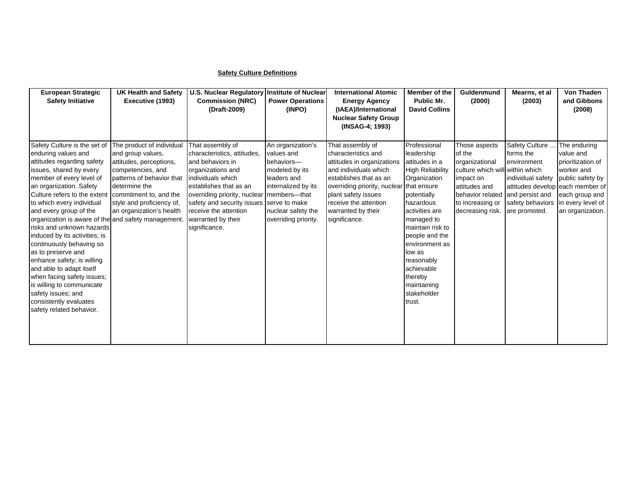## **Safety Culture Definitions**

| <b>European Strategic</b>                                                     | <b>UK Health and Safety</b>                    | U.S. Nuclear Regulatory Institute of Nuclear    |                          | <b>International Atomic</b>                  | Member of the                    | Guldenmund                      | Mearns, et al                    | <b>Von Thaden</b> |
|-------------------------------------------------------------------------------|------------------------------------------------|-------------------------------------------------|--------------------------|----------------------------------------------|----------------------------------|---------------------------------|----------------------------------|-------------------|
| <b>Safety Initiative</b>                                                      | Executive (1993)                               | <b>Commission (NRC)</b>                         | <b>Power Operations</b>  | <b>Energy Agency</b>                         | Public Mr.                       | (2000)                          | (2003)                           | and Gibbons       |
|                                                                               |                                                | (Draft-2009)                                    | (INPO)                   | (IAEA)/International                         | <b>David Collins</b>             |                                 |                                  | (2008)            |
|                                                                               |                                                |                                                 |                          | <b>Nuclear Safety Group</b>                  |                                  |                                 |                                  |                   |
|                                                                               |                                                |                                                 |                          | (INSAG-4; 1993)                              |                                  |                                 |                                  |                   |
|                                                                               |                                                |                                                 |                          |                                              |                                  |                                 |                                  |                   |
| Safety Culture is the set of                                                  | The product of individual                      | That assembly of                                | An organization's        | That assembly of                             | Professional                     | Those aspects                   | Safety Culture                   | The enduring      |
| enduring values and                                                           | and group values,                              | characteristics, attitudes,<br>and behaviors in | values and<br>behaviors- | characteristics and                          | leadership<br>attitudes in a     | of the                          | forms the                        | value and         |
| attitudes regarding safety                                                    | attitudes, perceptions,                        |                                                 |                          | attitudes in organizations                   |                                  | organizational                  | environment                      | prioritization of |
| issues, shared by every                                                       | competencies, and<br>patterns of behavior that | organizations and                               | modeled by its           | and individuals which                        | <b>High Reliability</b>          | culture which will within which |                                  | worker and        |
| member of every level of                                                      |                                                | individuals which                               | leaders and              | establishes that as an                       | Organization                     | impact on                       | individual safety                | public safety by  |
| an organization. Safety                                                       | determine the                                  | establishes that as an                          | internalized by its      | overriding priority, nuclear that ensure     |                                  | attitudes and                   | attitudes develop each member of |                   |
| Culture refers to the extent                                                  | commitment to, and the                         | overriding priority, nuclear members-that       | serve to make            | plant safety issues<br>receive the attention | potentially<br>hazardous         | behavior related                | and persist and                  | each group and    |
| to which every individual                                                     | style and proficiency of,                      | safety and security issues                      |                          |                                              |                                  | to increasing or                | safety behaviors                 | in every level of |
| and every group of the<br>organization is aware of the and safety management. | an organization's health                       | receive the attention                           | nuclear safety the       | warranted by their                           | activities are                   | decreasing risk.                | are promoted.                    | an organization.  |
| risks and unknown hazards                                                     |                                                | warranted by their                              | overriding priority.     | significance.                                | managed to<br>maintain risk to   |                                 |                                  |                   |
|                                                                               |                                                | significance.                                   |                          |                                              |                                  |                                 |                                  |                   |
| induced by its activities; is<br>continuously behaving so                     |                                                |                                                 |                          |                                              | people and the<br>environment as |                                 |                                  |                   |
| as to preserve and                                                            |                                                |                                                 |                          |                                              | low as                           |                                 |                                  |                   |
| enhance safety; is willing                                                    |                                                |                                                 |                          |                                              |                                  |                                 |                                  |                   |
| and able to adapt itself                                                      |                                                |                                                 |                          |                                              | reasonably<br>achievable         |                                 |                                  |                   |
| when facing safety issues;                                                    |                                                |                                                 |                          |                                              | thereby                          |                                 |                                  |                   |
| is willing to communicate                                                     |                                                |                                                 |                          |                                              | maintaining                      |                                 |                                  |                   |
| safety issues; and                                                            |                                                |                                                 |                          |                                              | stakeholder                      |                                 |                                  |                   |
| consistently evaluates                                                        |                                                |                                                 |                          |                                              | trust.                           |                                 |                                  |                   |
| safety related behavior.                                                      |                                                |                                                 |                          |                                              |                                  |                                 |                                  |                   |
|                                                                               |                                                |                                                 |                          |                                              |                                  |                                 |                                  |                   |
|                                                                               |                                                |                                                 |                          |                                              |                                  |                                 |                                  |                   |
|                                                                               |                                                |                                                 |                          |                                              |                                  |                                 |                                  |                   |
|                                                                               |                                                |                                                 |                          |                                              |                                  |                                 |                                  |                   |